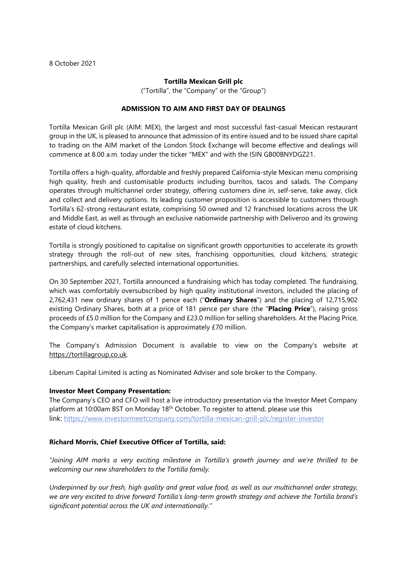#### **Tortilla Mexican Grill plc**

("Tortilla", the "Company" or the "Group")

## **ADMISSION TO AIM AND FIRST DAY OF DEALINGS**

Tortilla Mexican Grill plc (AIM: MEX), the largest and most successful fast-casual Mexican restaurant group in the UK, is pleased to announce that admission of its entire issued and to be issued share capital to trading on the AIM market of the London Stock Exchange will become effective and dealings will commence at 8.00 a.m. today under the ticker "MEX" and with the ISIN GB00BNYDGZ21.

Tortilla offers a high-quality, affordable and freshly prepared California-style Mexican menu comprising high quality, fresh and customisable products including burritos, tacos and salads. The Company operates through multichannel order strategy, offering customers dine in, self-serve, take away, click and collect and delivery options. Its leading customer proposition is accessible to customers through Tortilla's 62-strong restaurant estate, comprising 50 owned and 12 franchised locations across the UK and Middle East, as well as through an exclusive nationwide partnership with Deliveroo and its growing estate of cloud kitchens.

Tortilla is strongly positioned to capitalise on significant growth opportunities to accelerate its growth strategy through the roll-out of new sites, franchising opportunities, cloud kitchens, strategic partnerships, and carefully selected international opportunities.

On 30 September 2021, Tortilla announced a fundraising which has today completed. The fundraising, which was comfortably oversubscribed by high quality institutional investors, included the placing of 2,762,431 new ordinary shares of 1 pence each ("**Ordinary Shares**") and the placing of 12,715,902 existing Ordinary Shares, both at a price of 181 pence per share (the "**Placing Price**"), raising gross proceeds of £5.0 million for the Company and £23.0 million for selling shareholders. At the Placing Price, the Company's market capitalisation is approximately £70 million.

The Company's Admission Document is available to view on the Company's website at [https://tortillagroup.co.uk.](https://tortillagroup.co.uk/)

Liberum Capital Limited is acting as Nominated Adviser and sole broker to the Company.

#### **Investor Meet Company Presentation:**

The Company's CEO and CFO will host a live introductory presentation via the Investor Meet Company platform at 10:00am BST on Monday 18th October. To register to attend, please use this link: [https://www.investormeetcompany.com/tortilla-mexican-grill-plc/register-investor](https://eur01.safelinks.protection.outlook.com/?url=https%3A%2F%2Fwww.investormeetcompany.com%2Ftortilla-mexican-grill-plc%2Fregister-investor&data=04%7C01%7Clwollam%40hudsonsandler.com%7C726a72a6ac8941ec392908d988dfc08d%7Ca33bdb157e25438ab1fd5c523a8866f9%7C0%7C0%7C637691316870443055%7CUnknown%7CTWFpbGZsb3d8eyJWIjoiMC4wLjAwMDAiLCJQIjoiV2luMzIiLCJBTiI6Ik1haWwiLCJXVCI6Mn0%3D%7C1000&sdata=Urmn%2FyjPUic1wDOIi%2FmC%2F7AdUCnSuWefVIyIJlzNQzQ%3D&reserved=0)

## **Richard Morris, Chief Executive Officer of Tortilla, said:**

*"Joining AIM marks a very exciting milestone in Tortilla's growth journey and we're thrilled to be welcoming our new shareholders to the Tortilla family.*

*Underpinned by our fresh, high quality and great value food, as well as our multichannel order strategy,* we are very excited to drive forward Tortilla's long-term growth strategy and achieve the Tortilla brand's *significant potential across the UK and internationally."*